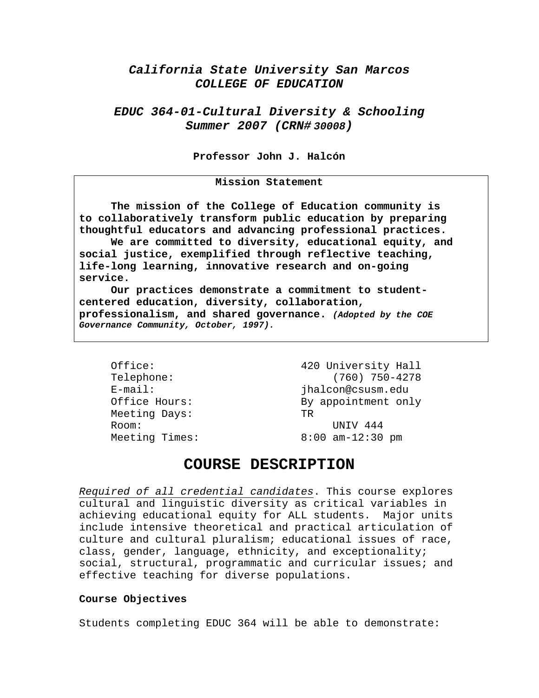# *California State University San Marcos COLLEGE OF EDUCATION*

# *EDUC 364-01-Cultural Diversity & Schooling Summer 2007 (CRN# 30008)*

**Professor John J. Halcón** 

#### **Mission Statement**

**The mission of the College of Education community is to collaboratively transform public education by preparing thoughtful educators and advancing professional practices. We are committed to diversity, educational equity, and social justice, exemplified through reflective teaching,** 

**life-long learning, innovative research and on-going service. Our practices demonstrate a commitment to student-**

**centered education, diversity, collaboration, professionalism, and shared governance.** *(Adopted by the COE Governance Community, October, 1997).* 

Meeting Days: TR Room: UNIV 444

Office: 420 University Hall Telephone: (760) 750-4278 E-mail: jhalcon@csusm.edu Office Hours: By appointment only Meeting Times: 8:00 am-12:30 pm

# **COURSE DESCRIPTION**

*Required of all credential candidates*. This course explores cultural and linguistic diversity as critical variables in achieving educational equity for ALL students. Major units include intensive theoretical and practical articulation of culture and cultural pluralism; educational issues of race, class, gender, language, ethnicity, and exceptionality; social, structural, programmatic and curricular issues; and effective teaching for diverse populations.

#### **Course Objectives**

Students completing EDUC 364 will be able to demonstrate: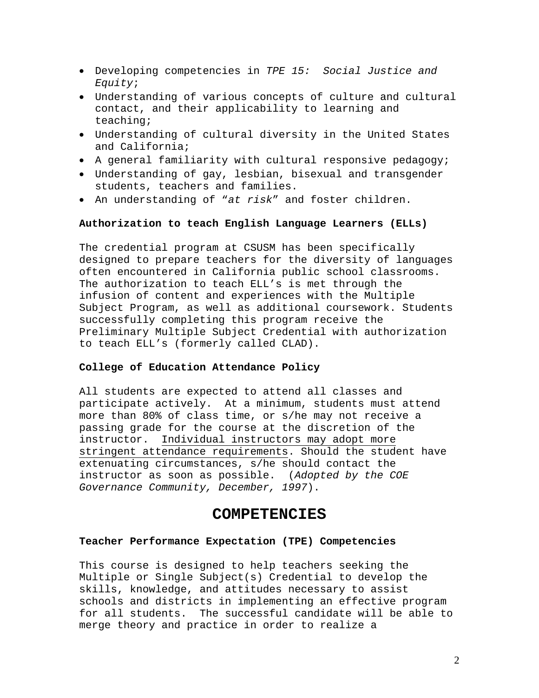- Developing competencies in *TPE 15: Social Justice and Equity*;
- Understanding of various concepts of culture and cultural contact, and their applicability to learning and teaching;
- Understanding of cultural diversity in the United States and California;
- A general familiarity with cultural responsive pedagogy;
- Understanding of gay, lesbian, bisexual and transgender students, teachers and families.
- An understanding of "*at risk*" and foster children.

### **Authorization to teach English Language Learners (ELLs)**

The credential program at CSUSM has been specifically designed to prepare teachers for the diversity of languages often encountered in California public school classrooms. The authorization to teach ELL's is met through the infusion of content and experiences with the Multiple Subject Program, as well as additional coursework. Students successfully completing this program receive the Preliminary Multiple Subject Credential with authorization to teach ELL's (formerly called CLAD).

#### **College of Education Attendance Policy**

All students are expected to attend all classes and participate actively. At a minimum, students must attend more than 80% of class time, or s/he may not receive a passing grade for the course at the discretion of the instructor. Individual instructors may adopt more stringent attendance requirements. Should the student have extenuating circumstances, s/he should contact the instructor as soon as possible. (*Adopted by the COE Governance Community, December, 1997*).

## **COMPETENCIES**

#### **Teacher Performance Expectation (TPE) Competencies**

This course is designed to help teachers seeking the Multiple or Single Subject(s) Credential to develop the skills, knowledge, and attitudes necessary to assist schools and districts in implementing an effective program for all students. The successful candidate will be able to merge theory and practice in order to realize a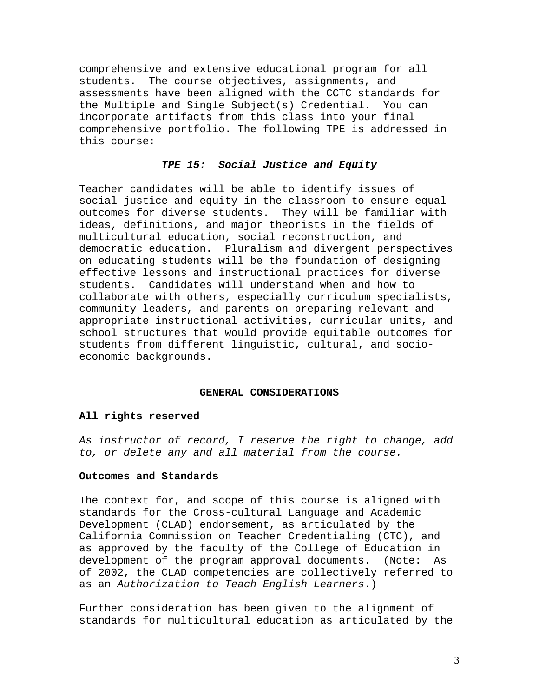comprehensive and extensive educational program for all students. The course objectives, assignments, and assessments have been aligned with the CCTC standards for the Multiple and Single Subject(s) Credential. You can incorporate artifacts from this class into your final comprehensive portfolio. The following TPE is addressed in this course:

### *TPE 15: Social Justice and Equity*

Teacher candidates will be able to identify issues of social justice and equity in the classroom to ensure equal outcomes for diverse students. They will be familiar with ideas, definitions, and major theorists in the fields of multicultural education, social reconstruction, and democratic education. Pluralism and divergent perspectives on educating students will be the foundation of designing effective lessons and instructional practices for diverse students. Candidates will understand when and how to collaborate with others, especially curriculum specialists, community leaders, and parents on preparing relevant and appropriate instructional activities, curricular units, and school structures that would provide equitable outcomes for students from different linguistic, cultural, and socioeconomic backgrounds.

#### **GENERAL CONSIDERATIONS**

#### **All rights reserved**

*As instructor of record, I reserve the right to change, add to, or delete any and all material from the course.* 

#### **Outcomes and Standards**

The context for, and scope of this course is aligned with standards for the Cross-cultural Language and Academic Development (CLAD) endorsement, as articulated by the California Commission on Teacher Credentialing (CTC), and as approved by the faculty of the College of Education in development of the program approval documents. (Note: As of 2002, the CLAD competencies are collectively referred to as an *Authorization to Teach English Learners*.)

Further consideration has been given to the alignment of standards for multicultural education as articulated by the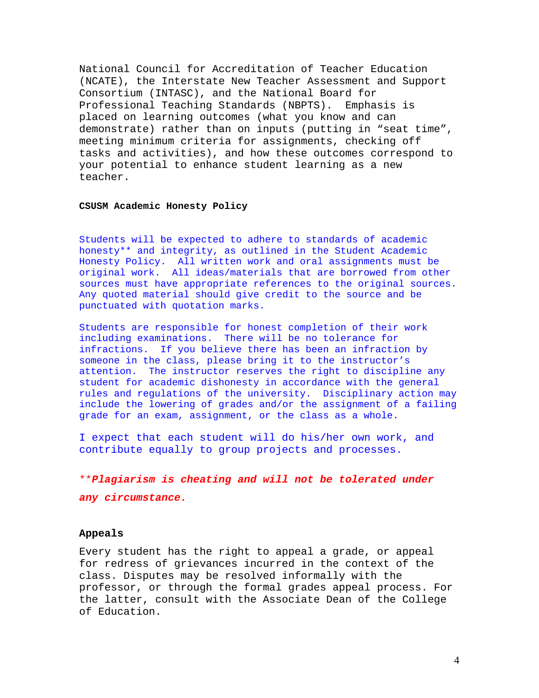National Council for Accreditation of Teacher Education (NCATE), the Interstate New Teacher Assessment and Support Consortium (INTASC), and the National Board for Professional Teaching Standards (NBPTS). Emphasis is placed on learning outcomes (what you know and can demonstrate) rather than on inputs (putting in "seat time", meeting minimum criteria for assignments, checking off tasks and activities), and how these outcomes correspond to your potential to enhance student learning as a new teacher.

#### **CSUSM Academic Honesty Policy**

Students will be expected to adhere to standards of academic honesty\*\* and integrity, as outlined in the Student Academic Honesty Policy. All written work and oral assignments must be original work. All ideas/materials that are borrowed from other sources must have appropriate references to the original sources. Any quoted material should give credit to the source and be punctuated with quotation marks.

Students are responsible for honest completion of their work including examinations. There will be no tolerance for infractions. If you believe there has been an infraction by someone in the class, please bring it to the instructor's attention. The instructor reserves the right to discipline any student for academic dishonesty in accordance with the general rules and regulations of the university. Disciplinary action may include the lowering of grades and/or the assignment of a failing grade for an exam, assignment, or the class as a whole.

I expect that each student will do his/her own work, and contribute equally to group projects and processes.

\*\**Plagiarism is cheating and will not be tolerated under any circumstance.* 

#### **Appeals**

Every student has the right to appeal a grade, or appeal for redress of grievances incurred in the context of the class. Disputes may be resolved informally with the professor, or through the formal grades appeal process. For the latter, consult with the Associate Dean of the College of Education.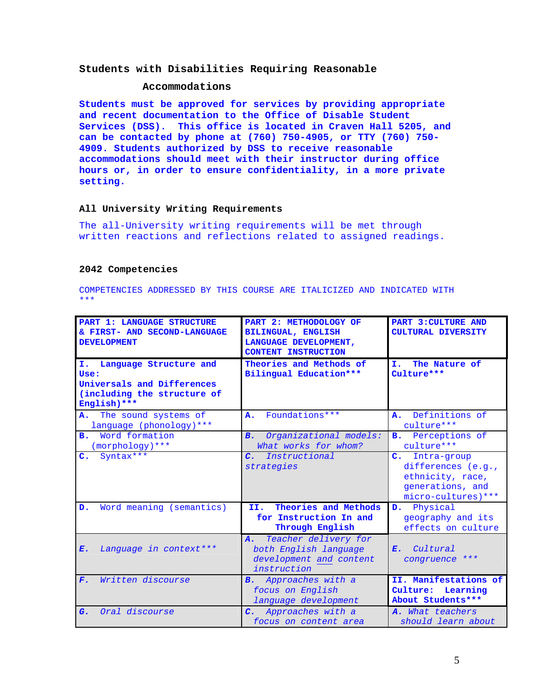#### **Students with Disabilities Requiring Reasonable**

#### **Accommodations**

**Students must be approved for services by providing appropriate and recent documentation to the Office of Disable Student Services (DSS). This office is located in Craven Hall 5205, and can be contacted by phone at (760) 750-4905, or TTY (760) 750- 4909. Students authorized by DSS to receive reasonable accommodations should meet with their instructor during office hours or, in order to ensure confidentiality, in a more private setting.** 

#### **All University Writing Requirements**

The all-University writing requirements will be met through written reactions and reflections related to assigned readings.

#### **2042 Competencies**

COMPETENCIES ADDRESSED BY THIS COURSE ARE ITALICIZED AND INDICATED WITH \*\*\*

| <b>PART 1: LANGUAGE STRUCTURE</b><br>& FIRST- AND SECOND-LANGUAGE<br><b>DEVELOPMENT</b>                           | PART 2: METHODOLOGY OF<br><b>BILINGUAL, ENGLISH</b><br>LANGUAGE DEVELOPMENT,<br><b>CONTENT INSTRUCTION</b> | <b>PART 3: CULTURE AND</b><br><b>CULTURAL DIVERSITY</b>                                                            |
|-------------------------------------------------------------------------------------------------------------------|------------------------------------------------------------------------------------------------------------|--------------------------------------------------------------------------------------------------------------------|
| Language Structure and<br>I.<br>Use:<br>Universals and Differences<br>(including the structure of<br>English) *** | Theories and Methods of<br>Bilingual Education***                                                          | The Nature of<br>Ι.<br>Culture***                                                                                  |
| The sound systems of<br><b>A.</b><br>language (phonology) ***                                                     | Foundations ***<br>Α.                                                                                      | Definitions of<br>$\mathbf{A}$ .<br>culture***                                                                     |
| Word formation<br>$\mathbf{B}$ .<br>(morphology) ***                                                              | Organizational models:<br>B <sub>1</sub><br>What works for whom?                                           | <b>B.</b> Perceptions of<br>culture***                                                                             |
| Syntax***<br>$\mathbf{c}$ .                                                                                       | $\mathcal{C}$ .<br>Instructional<br>strategies                                                             | $\mathbf{C}$ .<br>Intra-group<br>differences (e.g.,<br>ethnicity, race,<br>generations, and<br>micro-cultures) *** |
| Word meaning (semantics)<br>D.                                                                                    | Theories and Methods<br>II.<br>for Instruction In and<br>Through English                                   | Physical<br>D.<br>geography and its<br>effects on culture                                                          |
| Language in context***<br>$E$ .                                                                                   | Teacher delivery for<br>$\mathbf{A}$ .<br>both English language<br>development and content<br>instruction  | Cultural<br>$E_{\bullet}$<br>congruence ***                                                                        |
| Written discourse<br>$F_{\infty}$                                                                                 | <b>B.</b> Approaches with a<br>focus on English<br>language development                                    | II. Manifestations of<br>Culture:<br>Learning<br>About Students***                                                 |
| Oral discourse<br>$G$ .                                                                                           | C. Approaches with a<br>focus on content area                                                              | A. What teachers<br>should learn about                                                                             |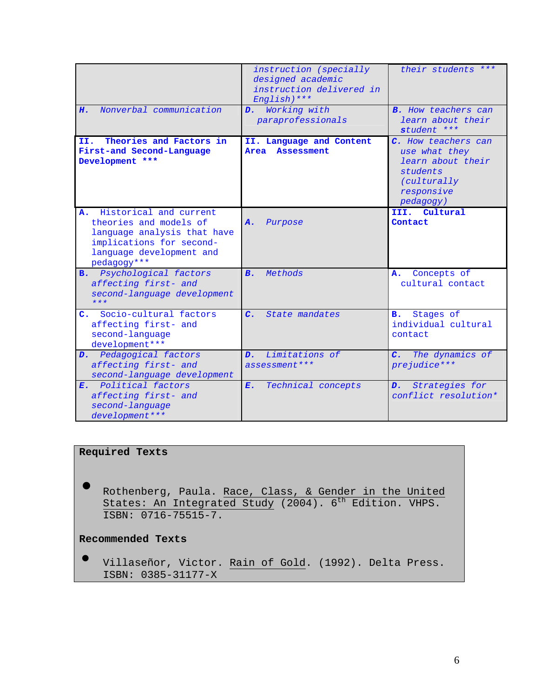| Nonverbal communication                                                                                                                                      | instruction (specially<br>designed academic<br>instruction delivered in<br>English) *** | their students ***<br><b>B.</b> How teachers can                                                                |
|--------------------------------------------------------------------------------------------------------------------------------------------------------------|-----------------------------------------------------------------------------------------|-----------------------------------------------------------------------------------------------------------------|
| н.                                                                                                                                                           | D. Working with<br>paraprofessionals                                                    | learn about their<br>student ***                                                                                |
| Theories and Factors in<br>II.<br>First-and Second-Language<br>Development ***                                                                               | II. Language and Content<br>Area<br><b>Assessment</b>                                   | C. How teachers can<br>use what they<br>learn about their<br>students<br>(culturally<br>responsive<br>pedagogy) |
| Historical and current<br>Α.<br>theories and models of<br>language analysis that have<br>implications for second-<br>language development and<br>pedagogy*** | Purpose<br><b>A.</b>                                                                    | III. Cultural<br>Contact                                                                                        |
| <b>B.</b> Psychological factors<br>affecting first- and<br>second-language development<br>$***$                                                              | B <sub>1</sub><br>Methods                                                               | Concepts of<br>A.<br>cultural contact                                                                           |
| Socio-cultural factors<br>c.<br>affecting first- and<br>second-language<br>development ***                                                                   | $\overline{c}$ .<br>State mandates                                                      | Stages of<br>в.<br>individual cultural<br>contact                                                               |
| D. Pedagogical factors<br>affecting first- and<br>second-language development                                                                                | Limitations of<br>$\mathbf{D}$ .<br>assessment ***                                      | The dynamics of<br>$\overline{c}$ .<br>prejudice***                                                             |
| E. Political factors<br>affecting first- and<br>second-language<br>development ***                                                                           | Technical concepts<br>Ε.                                                                | D. Strategies for<br>conflict resolution*                                                                       |

# **Required Texts**

• Rothenberg, Paula. Race, Class, & Gender in the United States: An Integrated Study (2004). 6<sup>th</sup> Edition. VHPS. ISBN: 0716-75515-7.

## **Recommended Texts**

• Villaseñor, Victor. Rain of Gold. (1992). Delta Press. ISBN: 0385-31177-X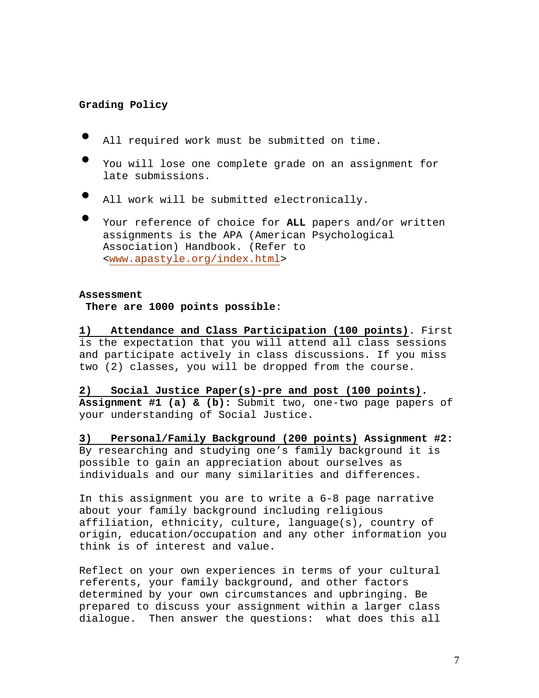### **Grading Policy**

- All required work must be submitted on time.
- You will lose one complete grade on an assignment for late submissions.
- All work will be submitted electronically.
- Your reference of choice for **ALL** papers and/or written assignments is the APA (American Psychological Association) Handbook. (Refer to <www.apastyle.org/index.html>

#### **Assessment**

**There are 1000 points possible**:

**1) Attendance and Class Participation (100 points)**. First is the expectation that you will attend all class sessions and participate actively in class discussions. If you miss two (2) classes, you will be dropped from the course.

**2) Social Justice Paper(s)-pre and post (100 points). Assignment #1 (a) & (b):** Submit two, one-two page papers of your understanding of Social Justice.

**3) Personal/Family Background (200 points) Assignment #2:** By researching and studying one's family background it is possible to gain an appreciation about ourselves as individuals and our many similarities and differences.

In this assignment you are to write a 6-8 page narrative about your family background including religious affiliation, ethnicity, culture, language(s), country of origin, education/occupation and any other information you think is of interest and value.

Reflect on your own experiences in terms of your cultural referents, your family background, and other factors determined by your own circumstances and upbringing. Be prepared to discuss your assignment within a larger class dialogue. Then answer the questions: what does this all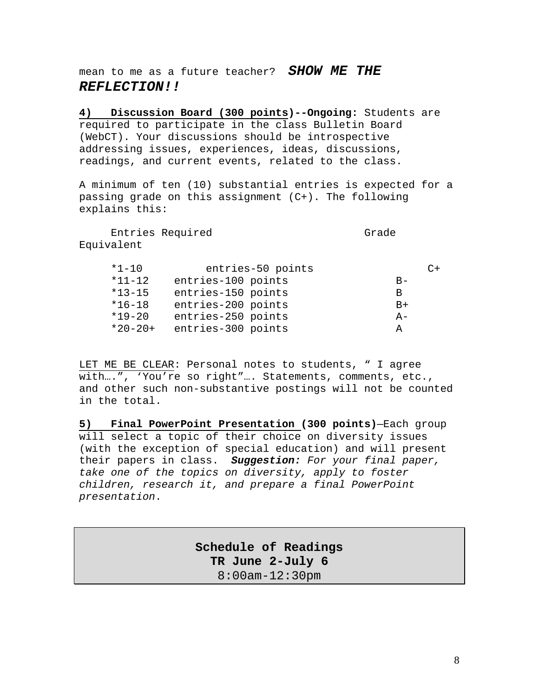mean to me as a future teacher? *SHOW ME THE REFLECTION!!* 

**4) Discussion Board (300 points)--Ongoing:** Students are required to participate in the class Bulletin Board (WebCT). Your discussions should be introspective addressing issues, experiences, ideas, discussions, readings, and current events, related to the class.

A minimum of ten (10) substantial entries is expected for a passing grade on this assignment (C+). The following explains this:

Entries Required Grade Equivalent

| $*1 - 10$    |                    | entries-50 points |       | ∩+ |
|--------------|--------------------|-------------------|-------|----|
| $*11 - 12$   | entries-100 points |                   | $B -$ |    |
| $*13 - 15$   | entries-150 points |                   | В     |    |
| $*16-18$     | entries-200 points |                   | $B+$  |    |
| $*19 - 20$   | entries-250 points |                   | $A -$ |    |
| $*20 - 20 +$ | entries-300 points |                   | А     |    |

LET ME BE CLEAR: Personal notes to students, " I agree with….", 'You're so right"…. Statements, comments, etc., and other such non-substantive postings will not be counted in the total.

**5) Final PowerPoint Presentation (300 points)**—Each group will select a topic of their choice on diversity issues (with the exception of special education) and will present their papers in class. *Suggestion: For your final paper, take one of the topics on diversity, apply to foster children, research it, and prepare a final PowerPoint presentation*.

> **Schedule of Readings TR June 2-July 6**  8:00am-12:30pm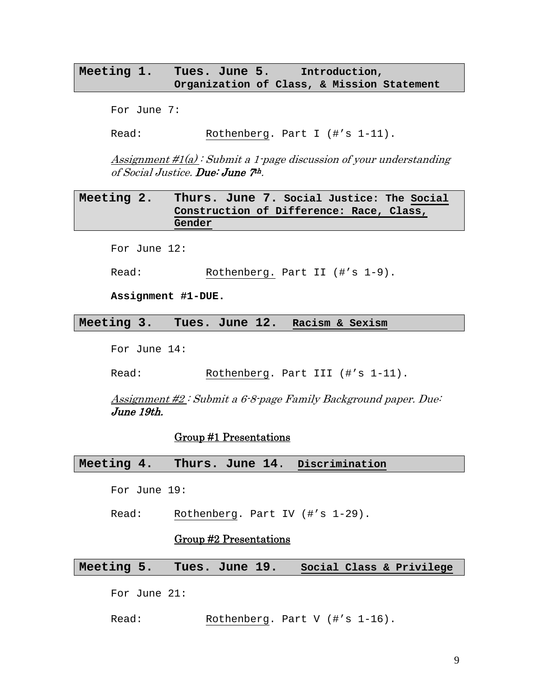## **Meeting 1. Tues. June 5**. **Introduction, Organization of Class, & Mission Statement**

For June 7:

Read: Rothenberg. Part I (#'s 1-11).

Assignment  $\#1(a)$ : Submit a 1-page discussion of your understanding of Social Justice. Due: June 7th.

## **Meeting 2. Thurs. June 7. Social Justice: The Social Construction of Difference: Race, Class, Gender**

For June 12:

Read: Rothenberg. Part II (#'s 1-9).

**Assignment #1-DUE.** 

**Meeting 3. Tues. June 12. Racism & Sexism** 

For June 14:

Read: Rothenberg. Part III (#'s 1-11).

Assignment #2 : Submit a 6-8-page Family Background paper. Due: June 19th.

### Group #1 Presentations

**Meeting 4. Thurs. June 14**. **Discrimination** 

For June 19:

Read: Rothenberg. Part IV (#'s 1-29).

### Group #2 Presentations

**Meeting 5. Tues. June 19. Social Class & Privilege**

For June 21:

Read: Rothenberg. Part V (#'s 1-16).